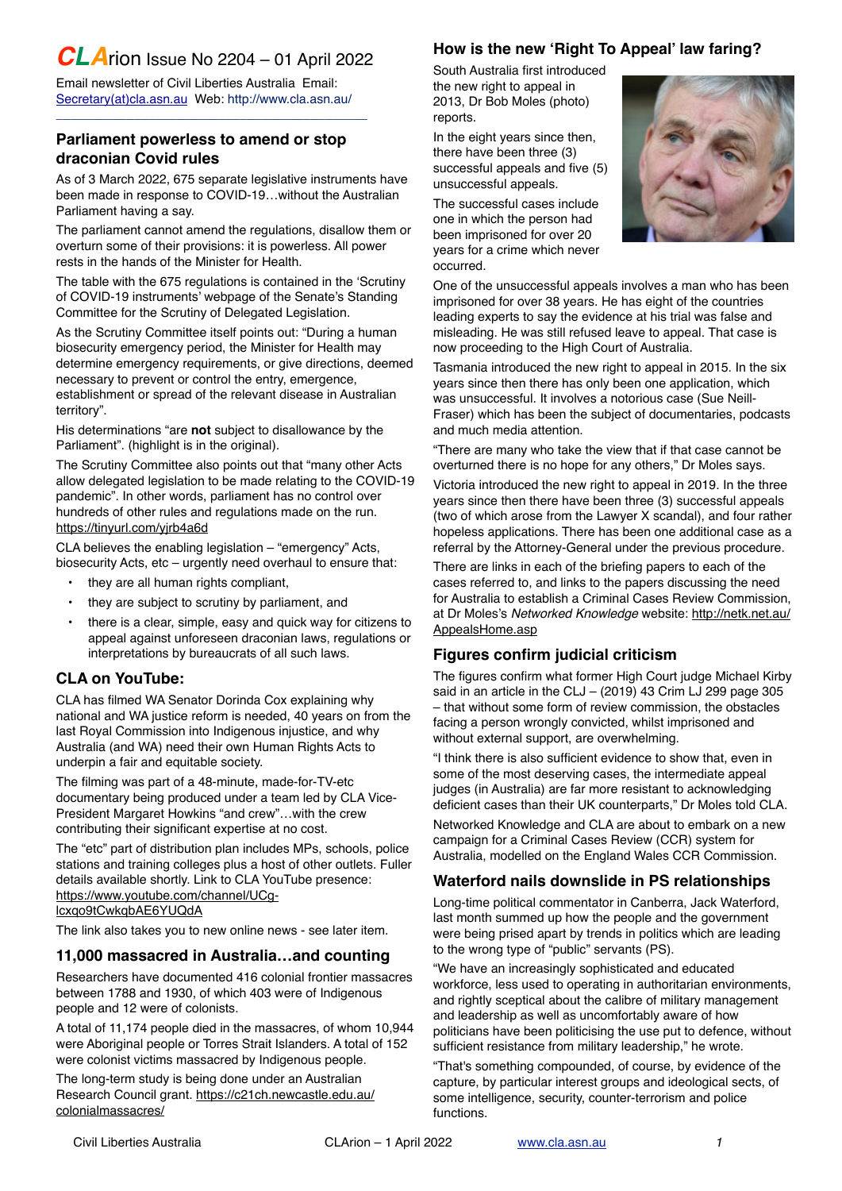# *CLA*rion Issue No 2204 – 01 April 2022

Email newsletter of Civil Liberties Australia Email: [Secretary\(at\)cla.asn.au](mailto:secretary@cla.asn.au?subject=email%20subject) Web:<http://www.cla.asn.au>/

\_\_\_\_\_\_\_\_\_\_\_\_\_\_\_\_\_\_\_\_\_\_\_\_\_\_\_\_\_\_\_\_\_\_\_\_\_\_\_\_\_\_\_\_

### **Parliament powerless to amend or stop draconian Covid rules**

As of 3 March 2022, 675 separate legislative instruments have been made in response to COVID-19…without the Australian Parliament having a say.

The parliament cannot amend the regulations, disallow them or overturn some of their provisions: it is powerless. All power rests in the hands of the Minister for Health.

The table with the 675 regulations is contained in the 'Scrutiny of COVID-19 instruments' webpage of the Senate's Standing Committee for the Scrutiny of Delegated Legislation.

As the Scrutiny Committee itself points out: "During a human biosecurity emergency period, the Minister for Health may determine emergency requirements, or give directions, deemed necessary to prevent or control the entry, emergence, establishment or spread of the relevant disease in Australian territory".

His determinations "are **not** subject to disallowance by the Parliament". (highlight is in the original).

The Scrutiny Committee also points out that "many other Acts allow delegated legislation to be made relating to the COVID-19 pandemic". In other words, parliament has no control over hundreds of other rules and regulations made on the run. <https://tinyurl.com/yjrb4a6d>

CLA believes the enabling legislation – "emergency" Acts, biosecurity Acts, etc – urgently need overhaul to ensure that:

- they are all human rights compliant,
- they are subject to scrutiny by parliament, and
- there is a clear, simple, easy and quick way for citizens to appeal against unforeseen draconian laws, regulations or interpretations by bureaucrats of all such laws.

# **CLA on YouTube:**

CLA has filmed WA Senator Dorinda Cox explaining why national and WA justice reform is needed, 40 years on from the last Royal Commission into Indigenous injustice, and why Australia (and WA) need their own Human Rights Acts to underpin a fair and equitable society.

The filming was part of a 48-minute, made-for-TV-etc documentary being produced under a team led by CLA Vice-President Margaret Howkins "and crew"…with the crew contributing their significant expertise at no cost.

The "etc" part of distribution plan includes MPs, schools, police stations and training colleges plus a host of other outlets. Fuller details available shortly. Link to CLA YouTube presence: [https://www.youtube.com/channel/UCg](https://www.youtube.com/channel/UCg-lcxqo9tCwkqbAE6YUQdA)[lcxqo9tCwkqbAE6YUQdA](https://www.youtube.com/channel/UCg-lcxqo9tCwkqbAE6YUQdA)

The link also takes you to new online news - see later item.

# **11,000 massacred in Australia…and counting**

Researchers have documented 416 colonial frontier massacres between 1788 and 1930, of which 403 were of Indigenous people and 12 were of colonists.

A total of 11,174 people died in the massacres, of whom 10,944 were Aboriginal people or Torres Strait Islanders. A total of 152 were colonist victims massacred by Indigenous people.

The long-term study is being done under an Australian Research Council grant. [https://c21ch.newcastle.edu.au/](https://c21ch.newcastle.edu.au/colonialmassacres/) [colonialmassacres/](https://c21ch.newcastle.edu.au/colonialmassacres/)

# **How is the new 'Right To Appeal' law faring?**

South Australia first introduced the new right to appeal in 2013, Dr Bob Moles (photo) reports.

In the eight years since then, there have been three (3) successful appeals and five (5) unsuccessful appeals.

The successful cases include one in which the person had been imprisoned for over 20 years for a crime which never occurred.



One of the unsuccessful appeals involves a man who has been imprisoned for over 38 years. He has eight of the countries leading experts to say the evidence at his trial was false and misleading. He was still refused leave to appeal. That case is now proceeding to the High Court of Australia.

Tasmania introduced the new right to appeal in 2015. In the six years since then there has only been one application, which was unsuccessful. It involves a notorious case (Sue Neill-Fraser) which has been the subject of documentaries, podcasts and much media attention.

"There are many who take the view that if that case cannot be overturned there is no hope for any others," Dr Moles says.

Victoria introduced the new right to appeal in 2019. In the three years since then there have been three (3) successful appeals (two of which arose from the Lawyer X scandal), and four rather hopeless applications. There has been one additional case as a referral by the Attorney-General under the previous procedure.

There are links in each of the briefing papers to each of the cases referred to, and links to the papers discussing the need for Australia to establish a Criminal Cases Review Commission, at Dr Moles's *Networked Knowledge* website: [http://netk.net.au/](http://netk.net.au/AppealsHome.asp) [AppealsHome.asp](http://netk.net.au/AppealsHome.asp)

# **Figures confirm judicial criticism**

The figures confirm what former High Court judge Michael Kirby said in an article in the CLJ –  $(2019)$  43 Crim LJ 299 page 305 – that without some form of review commission, the obstacles facing a person wrongly convicted, whilst imprisoned and without external support, are overwhelming.

"I think there is also sufficient evidence to show that, even in some of the most deserving cases, the intermediate appeal judges (in Australia) are far more resistant to acknowledging deficient cases than their UK counterparts," Dr Moles told CLA.

Networked Knowledge and CLA are about to embark on a new campaign for a Criminal Cases Review (CCR) system for Australia, modelled on the England Wales CCR Commission.

# **Waterford nails downslide in PS relationships**

Long-time political commentator in Canberra, Jack Waterford, last month summed up how the people and the government were being prised apart by trends in politics which are leading to the wrong type of "public" servants (PS).

"We have an increasingly sophisticated and educated workforce, less used to operating in authoritarian environments, and rightly sceptical about the calibre of military management and leadership as well as uncomfortably aware of how politicians have been politicising the use put to defence, without sufficient resistance from military leadership," he wrote.

"That's something compounded, of course, by evidence of the capture, by particular interest groups and ideological sects, of some intelligence, security, counter-terrorism and police functions.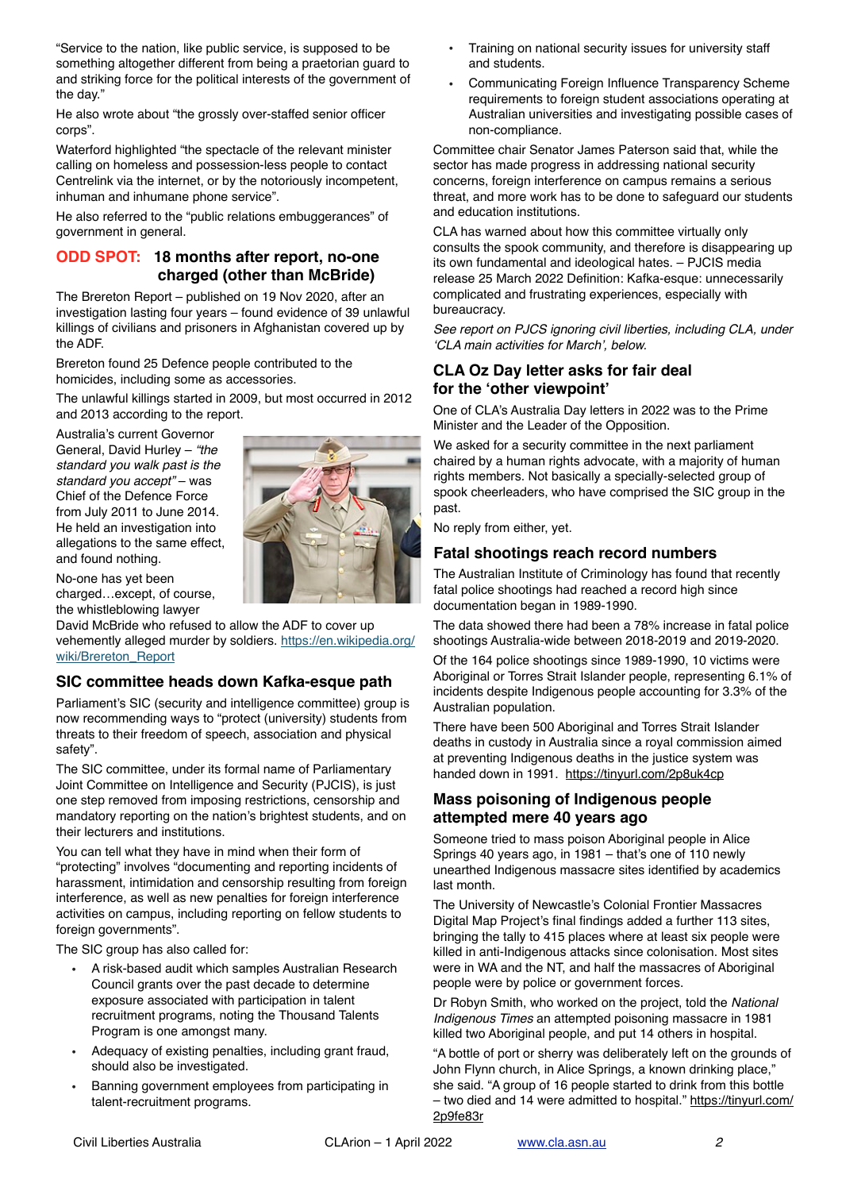"Service to the nation, like public service, is supposed to be something altogether different from being a praetorian guard to and striking force for the political interests of the government of the day."

He also wrote about "the grossly over-staffed senior officer corps".

Waterford highlighted "the spectacle of the relevant minister calling on homeless and possession-less people to contact Centrelink via the internet, or by the notoriously incompetent, inhuman and inhumane phone service".

He also referred to the "public relations embuggerances" of government in general.

### **ODD SPOT: 18 months after report, no-one charged (other than McBride)**

The Brereton Report – published on 19 Nov 2020, after an investigation lasting four years – found evidence of 39 unlawful killings of civilians and prisoners in Afghanistan covered up by the ADF.

Brereton found 25 Defence people contributed to the homicides, including some as accessories.

The unlawful killings started in 2009, but most occurred in 2012 and 2013 according to the report.

Australia's current Governor General, David Hurley – *"the standard you walk past is the standard you accept"* – was Chief of the Defence Force from July 2011 to June 2014. He held an investigation into allegations to the same effect, and found nothing.



No-one has yet been charged…except, of course, the whistleblowing lawyer

David McBride who refused to allow the ADF to cover up vehemently alleged murder by soldiers. [https://en.wikipedia.org/](https://en.wikipedia.org/wiki/Brereton_Report) [wiki/Brereton\\_Report](https://en.wikipedia.org/wiki/Brereton_Report)

# **SIC committee heads down Kafka-esque path**

Parliament's SIC (security and intelligence committee) group is now recommending ways to "protect (university) students from threats to their freedom of speech, association and physical safety".

The SIC committee, under its formal name of Parliamentary Joint Committee on Intelligence and Security (PJCIS), is just one step removed from imposing restrictions, censorship and mandatory reporting on the nation's brightest students, and on their lecturers and institutions.

You can tell what they have in mind when their form of "protecting" involves "documenting and reporting incidents of harassment, intimidation and censorship resulting from foreign interference, as well as new penalties for foreign interference activities on campus, including reporting on fellow students to foreign governments".

The SIC group has also called for:

- A risk-based audit which samples Australian Research Council grants over the past decade to determine exposure associated with participation in talent recruitment programs, noting the Thousand Talents Program is one amongst many.
- Adequacy of existing penalties, including grant fraud, should also be investigated.
- Banning government employees from participating in talent-recruitment programs.
- Training on national security issues for university staff and students.
- Communicating Foreign Influence Transparency Scheme requirements to foreign student associations operating at Australian universities and investigating possible cases of non-compliance.

Committee chair Senator James Paterson said that, while the sector has made progress in addressing national security concerns, foreign interference on campus remains a serious threat, and more work has to be done to safeguard our students and education institutions.

CLA has warned about how this committee virtually only consults the spook community, and therefore is disappearing up its own fundamental and ideological hates. – PJCIS media release 25 March 2022 Definition: Kafka-esque: unnecessarily complicated and frustrating experiences, especially with bureaucracy.

*See report on PJCS ignoring civil liberties, including CLA, under 'CLA main activities for March', below.*

# **CLA Oz Day letter asks for fair deal for the 'other viewpoint'**

One of CLA's Australia Day letters in 2022 was to the Prime Minister and the Leader of the Opposition.

We asked for a security committee in the next parliament chaired by a human rights advocate, with a majority of human rights members. Not basically a specially-selected group of spook cheerleaders, who have comprised the SIC group in the past.

No reply from either, yet.

# **Fatal shootings reach record numbers**

The Australian Institute of Criminology has found that recently fatal police shootings had reached a record high since documentation began in 1989-1990.

The data showed there had been a 78% increase in fatal police shootings Australia-wide between 2018-2019 and 2019-2020.

Of the 164 police shootings since 1989-1990, 10 victims were Aboriginal or Torres Strait Islander people, representing 6.1% of incidents despite Indigenous people accounting for 3.3% of the Australian population.

There have been 500 Aboriginal and Torres Strait Islander deaths in custody in Australia since a royal commission aimed at preventing Indigenous deaths in the justice system was handed down in 1991. <https://tinyurl.com/2p8uk4cp>

# **Mass poisoning of Indigenous people attempted mere 40 years ago**

Someone tried to mass poison Aboriginal people in Alice Springs 40 years ago, in 1981 – that's one of 110 newly unearthed Indigenous massacre sites identified by academics last month.

The University of Newcastle's Colonial Frontier Massacres Digital Map Project's final findings added a further 113 sites, bringing the tally to 415 places where at least six people were killed in anti-Indigenous attacks since colonisation. Most sites were in WA and the NT, and half the massacres of Aboriginal people were by police or government forces.

Dr Robyn Smith, who worked on the project, told the *National Indigenous Times* an attempted poisoning massacre in 1981 killed two Aboriginal people, and put 14 others in hospital.

"A bottle of port or sherry was deliberately left on the grounds of John Flynn church, in Alice Springs, a known drinking place," she said. "A group of 16 people started to drink from this bottle – two died and 14 were admitted to hospital." [https://tinyurl.com/](https://tinyurl.com/2p9fe83r) [2p9fe83r](https://tinyurl.com/2p9fe83r)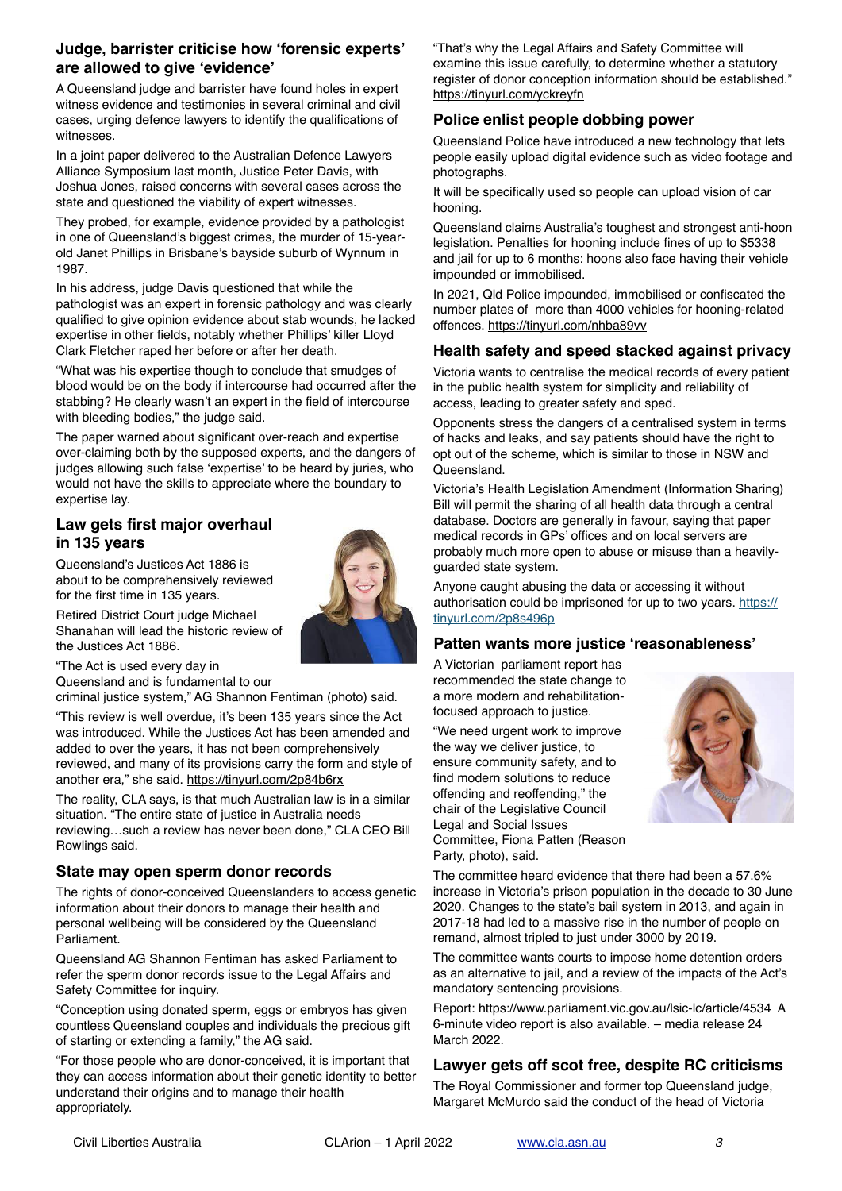### **Judge, barrister criticise how 'forensic experts' are allowed to give 'evidence'**

A Queensland judge and barrister have found holes in expert witness evidence and testimonies in several criminal and civil cases, urging defence lawyers to identify the qualifications of witnesses.

In a joint paper delivered to the Australian Defence Lawyers Alliance Symposium last month, Justice Peter Davis, with Joshua Jones, raised concerns with several cases across the state and questioned the viability of expert witnesses.

They probed, for example, evidence provided by a pathologist in one of Queensland's biggest crimes, the murder of 15-yearold Janet Phillips in Brisbane's bayside suburb of Wynnum in 1987.

In his address, judge Davis questioned that while the pathologist was an expert in forensic pathology and was clearly qualified to give opinion evidence about stab wounds, he lacked expertise in other fields, notably whether Phillips' killer Lloyd Clark Fletcher raped her before or after her death.

"What was his expertise though to conclude that smudges of blood would be on the body if intercourse had occurred after the stabbing? He clearly wasn't an expert in the field of intercourse with bleeding bodies," the judge said.

The paper warned about significant over-reach and expertise over-claiming both by the supposed experts, and the dangers of judges allowing such false 'expertise' to be heard by juries, who would not have the skills to appreciate where the boundary to expertise lay.

# **Law gets first major overhaul in 135 years**

Queensland's Justices Act 1886 is about to be comprehensively reviewed for the first time in 135 years.



Retired District Court judge Michael Shanahan will lead the historic review of the Justices Act 1886.

"The Act is used every day in

Queensland and is fundamental to our

criminal justice system," AG Shannon Fentiman (photo) said.

"This review is well overdue, it's been 135 years since the Act was introduced. While the Justices Act has been amended and added to over the years, it has not been comprehensively reviewed, and many of its provisions carry the form and style of another era," she said.<https://tinyurl.com/2p84b6rx>

The reality, CLA says, is that much Australian law is in a similar situation. "The entire state of justice in Australia needs reviewing…such a review has never been done," CLA CEO Bill Rowlings said.

# **State may open sperm donor records**

The rights of donor-conceived Queenslanders to access genetic information about their donors to manage their health and personal wellbeing will be considered by the Queensland Parliament.

Queensland AG Shannon Fentiman has asked Parliament to refer the sperm donor records issue to the Legal Affairs and Safety Committee for inquiry.

"Conception using donated sperm, eggs or embryos has given countless Queensland couples and individuals the precious gift of starting or extending a family," the AG said.

"For those people who are donor-conceived, it is important that they can access information about their genetic identity to better understand their origins and to manage their health appropriately.

"That's why the Legal Affairs and Safety Committee will examine this issue carefully, to determine whether a statutory register of donor conception information should be established." <https://tinyurl.com/yckreyfn>

# **Police enlist people dobbing power**

Queensland Police have introduced a new technology that lets people easily upload digital evidence such as video footage and photographs.

It will be specifically used so people can upload vision of car hooning.

Queensland claims Australia's toughest and strongest anti-hoon legislation. Penalties for hooning include fines of up to \$5338 and jail for up to 6 months: hoons also face having their vehicle impounded or immobilised.

In 2021, Qld Police impounded, immobilised or confiscated the number plates of more than 4000 vehicles for hooning-related offences.<https://tinyurl.com/nhba89vv>

# **Health safety and speed stacked against privacy**

Victoria wants to centralise the medical records of every patient in the public health system for simplicity and reliability of access, leading to greater safety and sped.

Opponents stress the dangers of a centralised system in terms of hacks and leaks, and say patients should have the right to opt out of the scheme, which is similar to those in NSW and **Queensland** 

Victoria's Health Legislation Amendment (Information Sharing) Bill will permit the sharing of all health data through a central database. Doctors are generally in favour, saying that paper medical records in GPs' offices and on local servers are probably much more open to abuse or misuse than a heavilyguarded state system.

Anyone caught abusing the data or accessing it without authorisation could be imprisoned for up to two years. [https://](https://tinyurl.com/2p8s496p) [tinyurl.com/2p8s496p](https://tinyurl.com/2p8s496p)

# **Patten wants more justice 'reasonableness'**

A Victorian parliament report has recommended the state change to a more modern and rehabilitationfocused approach to justice.

"We need urgent work to improve the way we deliver justice, to ensure community safety, and to find modern solutions to reduce offending and reoffending," the chair of the Legislative Council Legal and Social Issues Committee, Fiona Patten (Reason Party, photo), said.



The committee heard evidence that there had been a 57.6% increase in Victoria's prison population in the decade to 30 June 2020. Changes to the state's bail system in 2013, and again in 2017-18 had led to a massive rise in the number of people on remand, almost tripled to just under 3000 by 2019.

The committee wants courts to impose home detention orders as an alternative to jail, and a review of the impacts of the Act's mandatory sentencing provisions.

Report:<https://www.parliament.vic.gov.au/lsic-lc/article/4534> A 6-minute video report is also available. – media release 24 March 2022.

# **Lawyer gets off scot free, despite RC criticisms**

The Royal Commissioner and former top Queensland judge, Margaret McMurdo said the conduct of the head of Victoria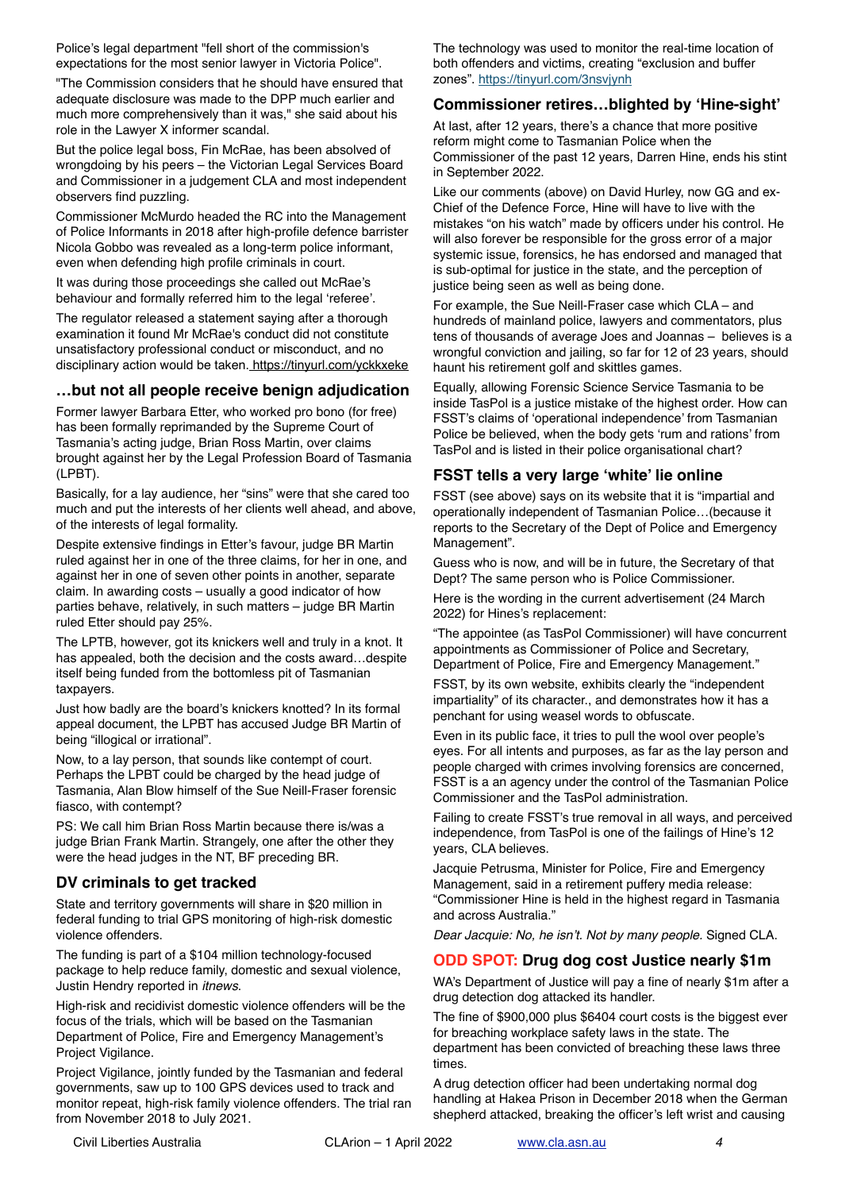Police's legal department "fell short of the commission's expectations for the most senior lawyer in Victoria Police".

"The Commission considers that he should have ensured that adequate disclosure was made to the DPP much earlier and much more comprehensively than it was," she said about his role in the Lawyer X informer scandal.

But the police legal boss, Fin McRae, has been absolved of wrongdoing by his peers – the Victorian Legal Services Board and Commissioner in a judgement CLA and most independent observers find puzzling.

Commissioner McMurdo headed the RC into the Management of Police Informants in 2018 after high-profile defence barrister Nicola Gobbo was revealed as a long-term police informant, even when defending high profile criminals in court.

It was during those proceedings she called out McRae's behaviour and formally referred him to the legal 'referee'.

The regulator released a statement saying after a thorough examination it found Mr McRae's conduct did not constitute unsatisfactory professional conduct or misconduct, and no disciplinary action would be taken. <https://tinyurl.com/yckkxeke>

### **…but not all people receive benign adjudication**

Former lawyer Barbara Etter, who worked pro bono (for free) has been formally reprimanded by the Supreme Court of Tasmania's acting judge, Brian Ross Martin, over claims brought against her by the Legal Profession Board of Tasmania (LPBT).

Basically, for a lay audience, her "sins" were that she cared too much and put the interests of her clients well ahead, and above, of the interests of legal formality.

Despite extensive findings in Etter's favour, judge BR Martin ruled against her in one of the three claims, for her in one, and against her in one of seven other points in another, separate claim. In awarding costs – usually a good indicator of how parties behave, relatively, in such matters – judge BR Martin ruled Etter should pay 25%.

The LPTB, however, got its knickers well and truly in a knot. It has appealed, both the decision and the costs award…despite itself being funded from the bottomless pit of Tasmanian taxpayers.

Just how badly are the board's knickers knotted? In its formal appeal document, the LPBT has accused Judge BR Martin of being "illogical or irrational".

Now, to a lay person, that sounds like contempt of court. Perhaps the LPBT could be charged by the head judge of Tasmania, Alan Blow himself of the Sue Neill-Fraser forensic fiasco, with contempt?

PS: We call him Brian Ross Martin because there is/was a judge Brian Frank Martin. Strangely, one after the other they were the head judges in the NT, BF preceding BR.

### **DV criminals to get tracked**

State and territory governments will share in \$20 million in federal funding to trial GPS monitoring of high-risk domestic violence offenders.

The funding is part of a \$104 million technology-focused package to help reduce family, domestic and sexual violence, Justin Hendry reported in *itnews*.

High-risk and recidivist domestic violence offenders will be the focus of the trials, which will be based on the Tasmanian Department of Police, Fire and Emergency Management's Project Vigilance.

Project Vigilance, jointly funded by the Tasmanian and federal governments, saw up to 100 GPS devices used to track and monitor repeat, high-risk family violence offenders. The trial ran from November 2018 to July 2021.

The technology was used to monitor the real-time location of both offenders and victims, creating "exclusion and buffer zones".<https://tinyurl.com/3nsvjynh>

### **Commissioner retires…blighted by 'Hine-sight'**

At last, after 12 years, there's a chance that more positive reform might come to Tasmanian Police when the Commissioner of the past 12 years, Darren Hine, ends his stint in September 2022.

Like our comments (above) on David Hurley, now GG and ex-Chief of the Defence Force, Hine will have to live with the mistakes "on his watch" made by officers under his control. He will also forever be responsible for the gross error of a major systemic issue, forensics, he has endorsed and managed that is sub-optimal for justice in the state, and the perception of justice being seen as well as being done.

For example, the Sue Neill-Fraser case which CLA – and hundreds of mainland police, lawyers and commentators, plus tens of thousands of average Joes and Joannas – believes is a wrongful conviction and jailing, so far for 12 of 23 years, should haunt his retirement golf and skittles games.

Equally, allowing Forensic Science Service Tasmania to be inside TasPol is a justice mistake of the highest order. How can FSST's claims of 'operational independence' from Tasmanian Police be believed, when the body gets 'rum and rations' from TasPol and is listed in their police organisational chart?

# **FSST tells a very large 'white' lie online**

FSST (see above) says on its website that it is "impartial and operationally independent of Tasmanian Police…(because it reports to the Secretary of the Dept of Police and Emergency Management".

Guess who is now, and will be in future, the Secretary of that Dept? The same person who is Police Commissioner.

Here is the wording in the current advertisement (24 March 2022) for Hines's replacement:

"The appointee (as TasPol Commissioner) will have concurrent appointments as Commissioner of Police and Secretary, Department of Police, Fire and Emergency Management."

FSST, by its own website, exhibits clearly the "independent impartiality" of its character., and demonstrates how it has a penchant for using weasel words to obfuscate.

Even in its public face, it tries to pull the wool over people's eyes. For all intents and purposes, as far as the lay person and people charged with crimes involving forensics are concerned, FSST is a an agency under the control of the Tasmanian Police Commissioner and the TasPol administration.

Failing to create FSST's true removal in all ways, and perceived independence, from TasPol is one of the failings of Hine's 12 years, CLA believes.

Jacquie Petrusma, Minister for Police, Fire and Emergency Management, said in a retirement puffery media release: "Commissioner Hine is held in the highest regard in Tasmania and across Australia."

*Dear Jacquie: No, he isn't. Not by many people.* Signed CLA.

# **ODD SPOT: Drug dog cost Justice nearly \$1m**

WA's Department of Justice will pay a fine of nearly \$1m after a drug detection dog attacked its handler.

The fine of \$900,000 plus \$6404 court costs is the biggest ever for breaching workplace safety laws in the state. The department has been convicted of breaching these laws three times.

A drug detection officer had been undertaking normal dog handling at Hakea Prison in December 2018 when the German shepherd attacked, breaking the officer's left wrist and causing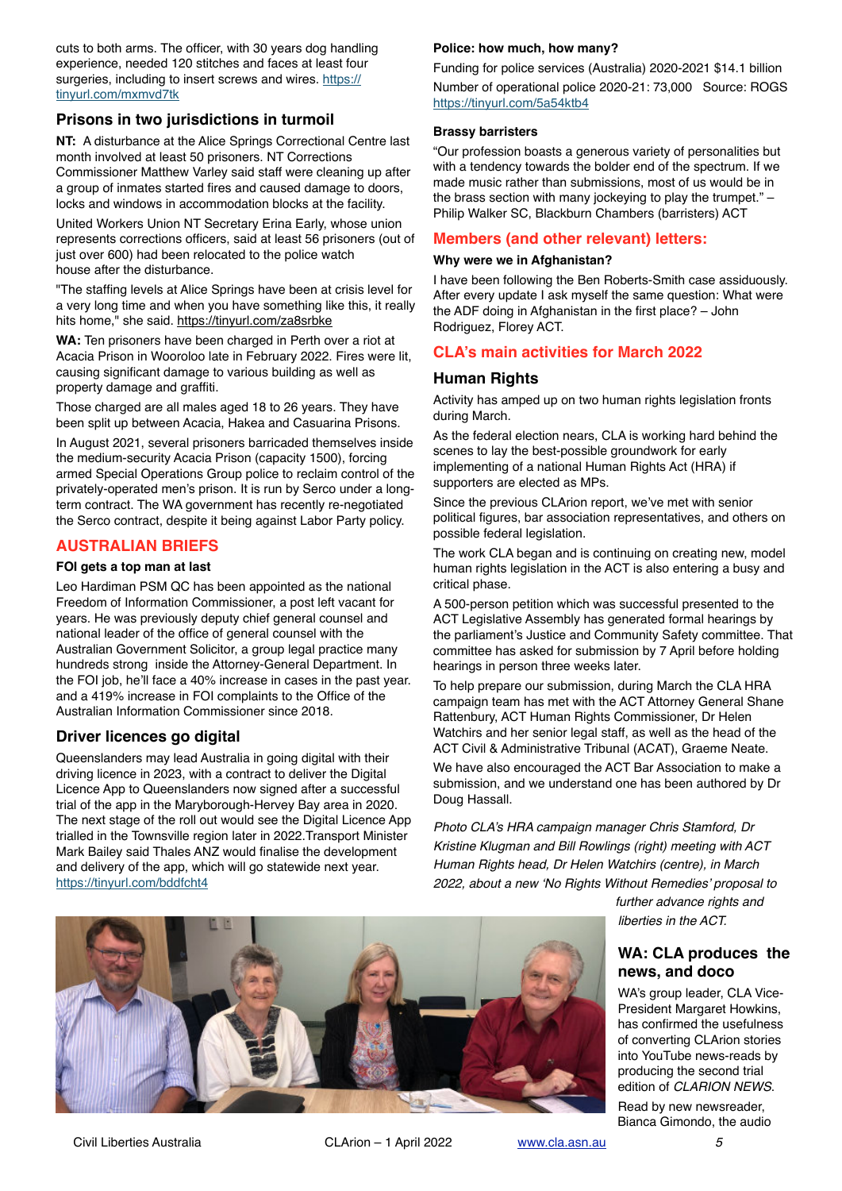cuts to both arms. The officer, with 30 years dog handling experience, needed 120 stitches and faces at least four surgeries, including to insert screws and wires. [https://](https://tinyurl.com/mxmvd7tk) [tinyurl.com/mxmvd7tk](https://tinyurl.com/mxmvd7tk)

### **Prisons in two jurisdictions in turmoil**

**NT:** A disturbance at the Alice Springs Correctional Centre last month involved at least 50 prisoners. NT Corrections Commissioner Matthew Varley said staff were cleaning up after a group of inmates started fires and caused damage to doors, locks and windows in accommodation blocks at the facility.

United Workers Union NT Secretary Erina Early, whose union represents corrections officers, said at least 56 prisoners (out of just over 600) had been relocated to the police watch house after the disturbance.

"The staffing levels at Alice Springs have been at crisis level for a very long time and when you have something like this, it really hits home," she said.<https://tinyurl.com/za8srbke>

**WA:** Ten prisoners have been charged in Perth over a riot at Acacia Prison in Wooroloo late in February 2022. Fires were lit, causing significant damage to various building as well as property damage and graffiti.

Those charged are all males aged 18 to 26 years. They have been split up between Acacia, Hakea and Casuarina Prisons.

In August 2021, several prisoners barricaded themselves inside the medium-security Acacia Prison (capacity 1500), forcing armed Special Operations Group police to reclaim control of the privately-operated men's prison. It is run by Serco under a longterm contract. The WA government has recently re-negotiated the Serco contract, despite it being against Labor Party policy.

### **AUSTRALIAN BRIEFS**

#### **FOI gets a top man at last**

Leo Hardiman PSM QC has been appointed as the national Freedom of Information Commissioner, a post left vacant for years. He was previously deputy chief general counsel and national leader of the office of general counsel with the Australian Government Solicitor, a group legal practice many hundreds strong inside the Attorney-General Department. In the FOI job, he'll face a 40% increase in cases in the past year. and a 419% increase in FOI complaints to the Office of the Australian Information Commissioner since 2018.

### **Driver licences go digital**

Queenslanders may lead Australia in going digital with their driving licence in 2023, with a contract to deliver the Digital Licence App to Queenslanders now signed after a successful trial of the app in the Maryborough-Hervey Bay area in 2020. The next stage of the roll out would see the Digital Licence App trialled in the Townsville region later in 2022.Transport Minister Mark Bailey said Thales ANZ would finalise the development and delivery of the app, which will go statewide next year. <https://tinyurl.com/bddfcht4>

#### **Police: how much, how many?**

Funding for police services (Australia) 2020-2021 \$14.1 billion Number of operational police 2020-21: 73,000 Source: ROGS <https://tinyurl.com/5a54ktb4>

#### **Brassy barristers**

"Our profession boasts a generous variety of personalities but with a tendency towards the bolder end of the spectrum. If we made music rather than submissions, most of us would be in the brass section with many jockeying to play the trumpet." – Philip Walker SC, Blackburn Chambers (barristers) ACT

#### **Members (and other relevant) letters:**

#### **Why were we in Afghanistan?**

I have been following the Ben Roberts-Smith case assiduously. After every update I ask myself the same question: What were the ADF doing in Afghanistan in the first place? – John Rodriguez, Florey ACT.

### **CLA's main activities for March 2022**

#### **Human Rights**

Activity has amped up on two human rights legislation fronts during March.

As the federal election nears, CLA is working hard behind the scenes to lay the best-possible groundwork for early implementing of a national Human Rights Act (HRA) if supporters are elected as MPs.

Since the previous CLArion report, we've met with senior political figures, bar association representatives, and others on possible federal legislation.

The work CLA began and is continuing on creating new, model human rights legislation in the ACT is also entering a busy and critical phase.

A 500-person petition which was successful presented to the ACT Legislative Assembly has generated formal hearings by the parliament's Justice and Community Safety committee. That committee has asked for submission by 7 April before holding hearings in person three weeks later.

To help prepare our submission, during March the CLA HRA campaign team has met with the ACT Attorney General Shane Rattenbury, ACT Human Rights Commissioner, Dr Helen Watchirs and her senior legal staff, as well as the head of the ACT Civil & Administrative Tribunal (ACAT), Graeme Neate.

We have also encouraged the ACT Bar Association to make a submission, and we understand one has been authored by Dr Doug Hassall.

*Photo CLA's HRA campaign manager Chris Stamford, Dr Kristine Klugman and Bill Rowlings (right) meeting with ACT Human Rights head, Dr Helen Watchirs (centre), in March 2022, about a new 'No Rights Without Remedies' proposal to* 

> *further advance rights and liberties in the ACT.*

### **WA: CLA produces the news, and doco**

WA's group leader, CLA Vice-President Margaret Howkins, has confirmed the usefulness of converting CLArion stories into YouTube news-reads by producing the second trial edition of *CLARION NEWS*.

Read by new newsreader, Bianca Gimondo, the audio

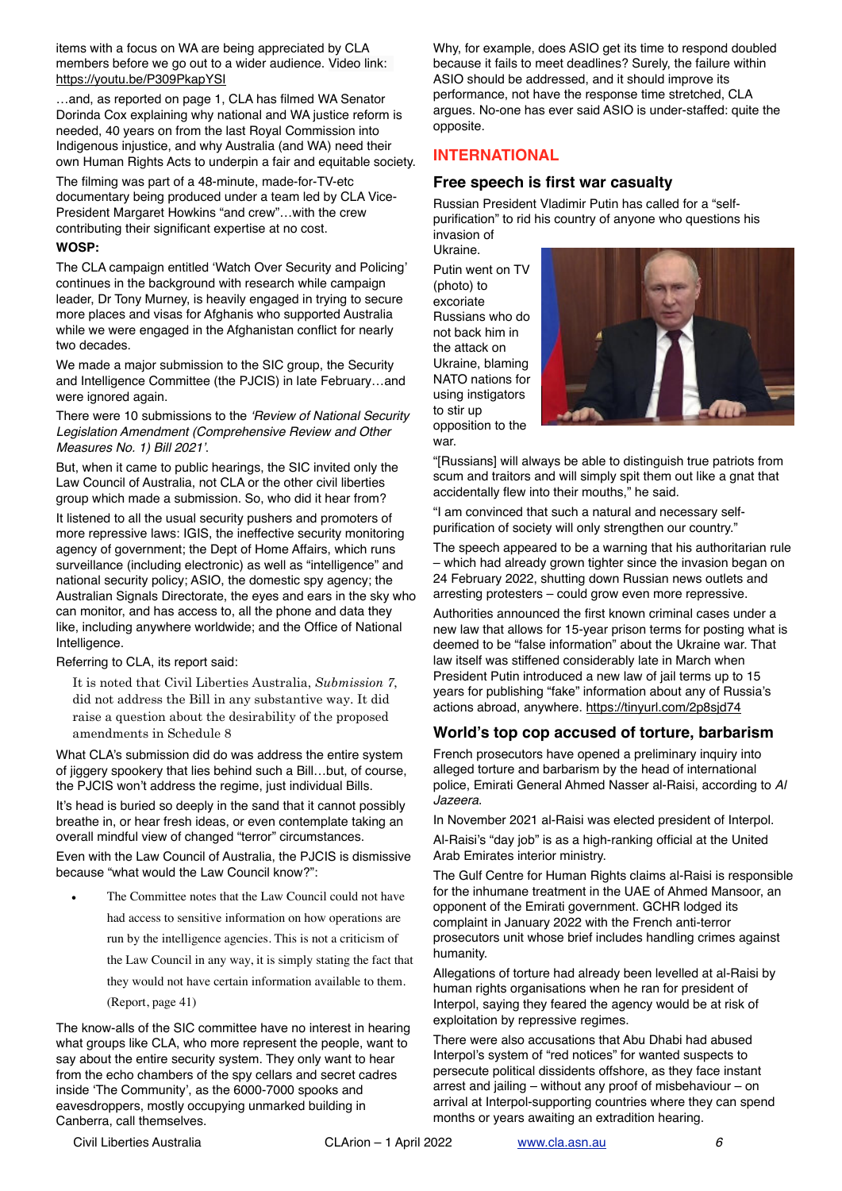items with a focus on WA are being appreciated by CLA members before we go out to a wider audience. Video link: <https://youtu.be/P309PkapYSI>

…and, as reported on page 1, CLA has filmed WA Senator Dorinda Cox explaining why national and WA justice reform is needed, 40 years on from the last Royal Commission into Indigenous injustice, and why Australia (and WA) need their own Human Rights Acts to underpin a fair and equitable society.

The filming was part of a 48-minute, made-for-TV-etc documentary being produced under a team led by CLA Vice-President Margaret Howkins "and crew"…with the crew contributing their significant expertise at no cost.

#### **WOSP:**

The CLA campaign entitled 'Watch Over Security and Policing' continues in the background with research while campaign leader, Dr Tony Murney, is heavily engaged in trying to secure more places and visas for Afghanis who supported Australia while we were engaged in the Afghanistan conflict for nearly two decades.

We made a major submission to the SIC group, the Security and Intelligence Committee (the PJCIS) in late February…and were ignored again.

There were 10 submissions to the *'Review of National Security Legislation Amendment (Comprehensive Review and Other Measures No. 1) Bill 2021'*.

But, when it came to public hearings, the SIC invited only the Law Council of Australia, not CLA or the other civil liberties group which made a submission. So, who did it hear from?

It listened to all the usual security pushers and promoters of more repressive laws: IGIS, the ineffective security monitoring agency of government; the Dept of Home Affairs, which runs surveillance (including electronic) as well as "intelligence" and national security policy; ASIO, the domestic spy agency; the Australian Signals Directorate, the eyes and ears in the sky who can monitor, and has access to, all the phone and data they like, including anywhere worldwide; and the Office of National Intelligence.

#### Referring to CLA, its report said:

It is noted that Civil Liberties Australia, *Submission 7*, did not address the Bill in any substantive way. It did raise a question about the desirability of the proposed amendments in Schedule 8

What CLA's submission did do was address the entire system of jiggery spookery that lies behind such a Bill…but, of course, the PJCIS won't address the regime, just individual Bills.

It's head is buried so deeply in the sand that it cannot possibly breathe in, or hear fresh ideas, or even contemplate taking an overall mindful view of changed "terror" circumstances.

Even with the Law Council of Australia, the PJCIS is dismissive because "what would the Law Council know?":

The Committee notes that the Law Council could not have had access to sensitive information on how operations are run by the intelligence agencies. This is not a criticism of the Law Council in any way, it is simply stating the fact that they would not have certain information available to them. (Report, page 41)

The know-alls of the SIC committee have no interest in hearing what groups like CLA, who more represent the people, want to say about the entire security system. They only want to hear from the echo chambers of the spy cellars and secret cadres inside 'The Community', as the 6000-7000 spooks and eavesdroppers, mostly occupying unmarked building in Canberra, call themselves.

Why, for example, does ASIO get its time to respond doubled because it fails to meet deadlines? Surely, the failure within ASIO should be addressed, and it should improve its performance, not have the response time stretched, CLA argues. No-one has ever said ASIO is under-staffed: quite the opposite.

### **INTERNATIONAL**

### **Free speech is first war casualty**

Russian President Vladimir Putin has called for a "selfpurification" to rid his country of anyone who questions his invasion of

Ukraine. Putin went on TV (photo) to excoriate Russians who do not back him in the attack on Ukraine, blaming NATO nations for using instigators to stir up opposition to the war.



"[Russians] will always be able to distinguish true patriots from scum and traitors and will simply spit them out like a gnat that accidentally flew into their mouths," he said.

"I am convinced that such a natural and necessary selfpurification of society will only strengthen our country."

The speech appeared to be a warning that his authoritarian rule – which had already grown tighter since the invasion began on 24 February 2022, shutting down Russian news outlets and arresting protesters – could grow even more repressive.

Authorities announced the first known criminal cases under a new law that allows for 15-year prison terms for posting what is deemed to be "false information" about the Ukraine war. That law itself was stiffened considerably late in March when President Putin introduced a new law of jail terms up to 15 years for publishing "fake" information about any of Russia's actions abroad, anywhere.<https://tinyurl.com/2p8sjd74>

# **World's top cop accused of torture, barbarism**

French prosecutors have opened a preliminary inquiry into alleged torture and barbarism by the head of international police, Emirati General Ahmed Nasser al-Raisi, according to *Al Jazeera*.

In November 2021 al-Raisi was elected president of Interpol. Al-Raisi's "day job" is as a high-ranking official at the United Arab Emirates interior ministry.

The Gulf Centre for Human Rights claims al-Raisi is responsible for the inhumane treatment in the UAE of Ahmed Mansoor, an opponent of the Emirati government. GCHR lodged its complaint in January 2022 with the French anti-terror prosecutors unit whose brief includes handling crimes against humanity.

Allegations of torture had already been levelled at al-Raisi by human rights organisations when he ran for president of Interpol, saying they feared the agency would be at risk of exploitation by repressive regimes.

There were also accusations that Abu Dhabi had abused Interpol's system of "red notices" for wanted suspects to persecute political dissidents offshore, as they face instant arrest and jailing – without any proof of misbehaviour – on arrival at Interpol-supporting countries where they can spend months or years awaiting an extradition hearing.

Civil Liberties Australia CLArion – 1 April 2022 [www.cla.asn.au](http://www.cla.asn.au) *6*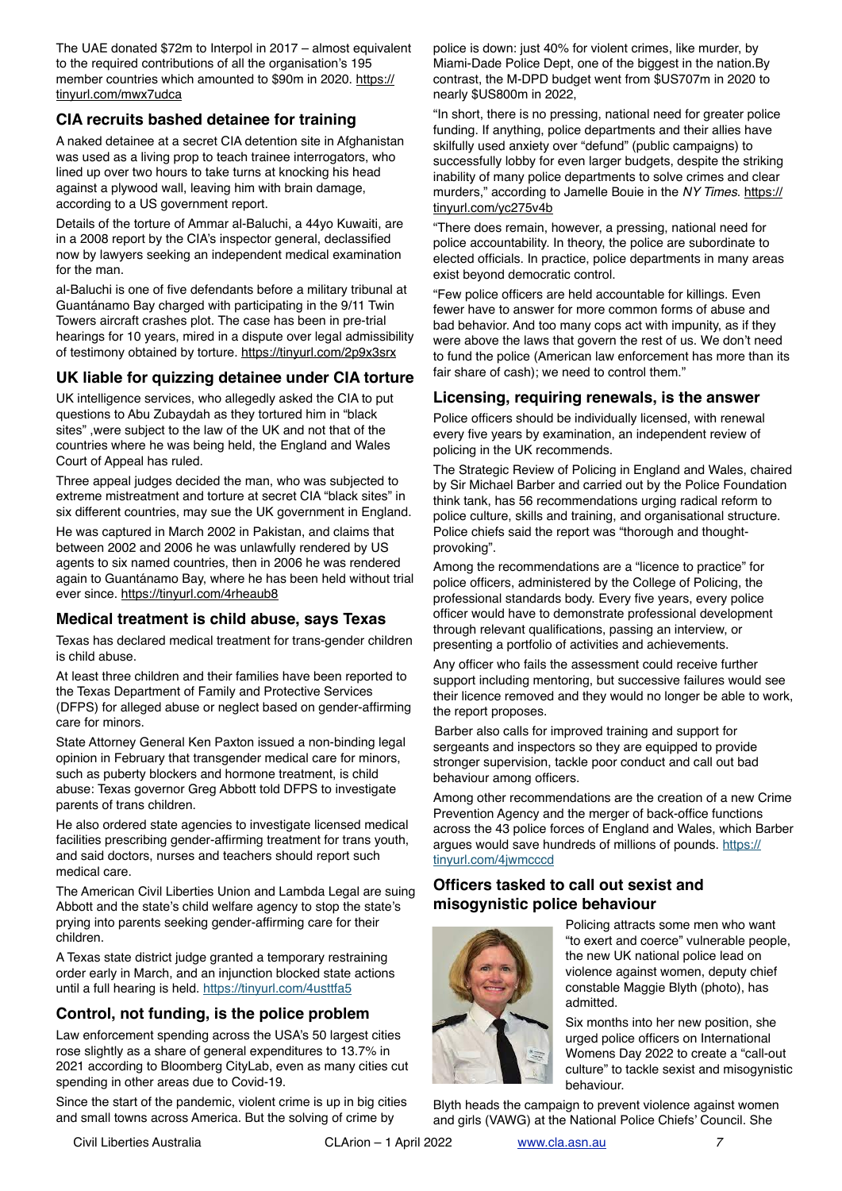The UAE donated \$72m to Interpol in 2017 – almost equivalent to the required contributions of all the organisation's 195 member countries which amounted to \$90m in 2020. [https://](https://tinyurl.com/mwx7udca) [tinyurl.com/mwx7udca](https://tinyurl.com/mwx7udca)

### **CIA recruits bashed detainee for training**

A naked detainee at a secret CIA detention site in Afghanistan was used as a living prop to teach trainee interrogators, who lined up over two hours to take turns at knocking his head against a plywood wall, leaving him with brain damage, according to a US government report.

Details of the torture of Ammar al-Baluchi, a 44yo Kuwaiti, are in a 2008 report by the CIA's inspector general, declassified now by lawyers seeking an independent medical examination for the man.

al-Baluchi is one of five defendants before a military tribunal at Guantánamo Bay charged with participating in the 9/11 Twin Towers aircraft crashes plot. The case has been in pre-trial hearings for 10 years, mired in a dispute over legal admissibility of testimony obtained by torture. <https://tinyurl.com/2p9x3srx>

# **UK liable for quizzing detainee under CIA torture**

UK intelligence services, who allegedly asked the CIA to put questions to Abu Zubaydah as they tortured him in "black sites" ,were subject to the law of the UK and not that of the countries where he was being held, the England and Wales Court of Appeal has ruled.

Three appeal judges decided the man, who was subjected to extreme mistreatment and torture at secret CIA "black sites" in six different countries, may sue the UK government in England.

He was captured in March 2002 in Pakistan, and claims that between 2002 and 2006 he was unlawfully rendered by US agents to six named countries, then in 2006 he was rendered again to Guantánamo Bay, where he has been held without trial ever since. <https://tinyurl.com/4rheaub8>

# **Medical treatment is child abuse, says Texas**

Texas has declared medical treatment for trans-gender children is child abuse.

At least three children and their families have been reported to the Texas Department of Family and Protective Services (DFPS) for alleged abuse or neglect based on gender-affirming care for minors.

State Attorney General Ken Paxton issued a non-binding legal opinion in February that transgender medical care for minors, such as puberty blockers and hormone treatment, is child abuse: Texas governor Greg Abbott told DFPS to investigate parents of trans children.

He also ordered state agencies to investigate licensed medical facilities prescribing gender-affirming treatment for trans youth, and said doctors, nurses and teachers should report such medical care.

The American Civil Liberties Union and Lambda Legal are suing Abbott and the state's child welfare agency to stop the state's prying into parents seeking gender-affirming care for their children.

A Texas state district judge granted a temporary restraining order early in March, and an injunction blocked state actions until a full hearing is held. <https://tinyurl.com/4usttfa5>

### **Control, not funding, is the police problem**

Law enforcement spending across the USA's 50 largest cities rose slightly as a share of general expenditures to 13.7% in 2021 according to Bloomberg CityLab, even as many cities cut spending in other areas due to Covid-19.

Since the start of the pandemic, violent crime is up in big cities and small towns across America. But the solving of crime by

police is down: just 40% for violent crimes, like murder, by Miami-Dade Police Dept, one of the biggest in the nation.By contrast, the M-DPD budget went from \$US707m in 2020 to nearly \$US800m in 2022,

"In short, there is no pressing, national need for greater police funding. If anything, police departments and their allies have skilfully used anxiety over "defund" (public campaigns) to successfully lobby for even larger budgets, despite the striking inability of many police departments to solve crimes and clear murders," according to Jamelle Bouie in the *NY Times*. [https://](https://tinyurl.com/yc275v4b) [tinyurl.com/yc275v4b](https://tinyurl.com/yc275v4b)

"There does remain, however, a pressing, national need for police accountability. In theory, the police are subordinate to elected officials. In practice, police departments in many areas exist beyond democratic control.

"Few police officers are held accountable for killings. Even fewer have to answer for more common forms of abuse and bad behavior. And too many cops act with impunity, as if they were above the laws that govern the rest of us. We don't need to fund the police (American law enforcement has more than its fair share of cash); we need to control them."

### **Licensing, requiring renewals, is the answer**

Police officers should be individually licensed, with renewal every five years by examination, an independent review of policing in the UK recommends.

The Strategic Review of Policing in England and Wales, chaired by Sir Michael Barber and carried out by the Police Foundation think tank, has 56 recommendations urging radical reform to police culture, skills and training, and organisational structure. Police chiefs said the report was "thorough and thoughtprovoking".

Among the recommendations are a "licence to practice" for police officers, administered by the College of Policing, the professional standards body. Every five years, every police officer would have to demonstrate professional development through relevant qualifications, passing an interview, or presenting a portfolio of activities and achievements.

Any officer who fails the assessment could receive further support including mentoring, but successive failures would see their licence removed and they would no longer be able to work, the report proposes.

Barber also calls for improved training and support for sergeants and inspectors so they are equipped to provide stronger supervision, tackle poor conduct and call out bad behaviour among officers.

Among other recommendations are the creation of a new Crime Prevention Agency and the merger of back-office functions across the 43 police forces of England and Wales, which Barber argues would save hundreds of millions of pounds. [https://](https://tinyurl.com/4jwmcccd) [tinyurl.com/4jwmcccd](https://tinyurl.com/4jwmcccd)

### **Officers tasked to call out sexist and misogynistic police behaviour**



Policing attracts some men who want "to exert and coerce" vulnerable people, the new UK national police lead on violence against women, deputy chief constable Maggie Blyth (photo), has admitted.

Six months into her new position, she urged police officers on International Womens Day 2022 to create a "call-out culture" to tackle sexist and misogynistic behaviour.

Blyth heads the campaign to prevent violence against women and girls (VAWG) at the National Police Chiefs' Council. She

Civil Liberties Australia CLArion – 1 April 2022 [www.cla.asn.au](http://www.cla.asn.au) *7*